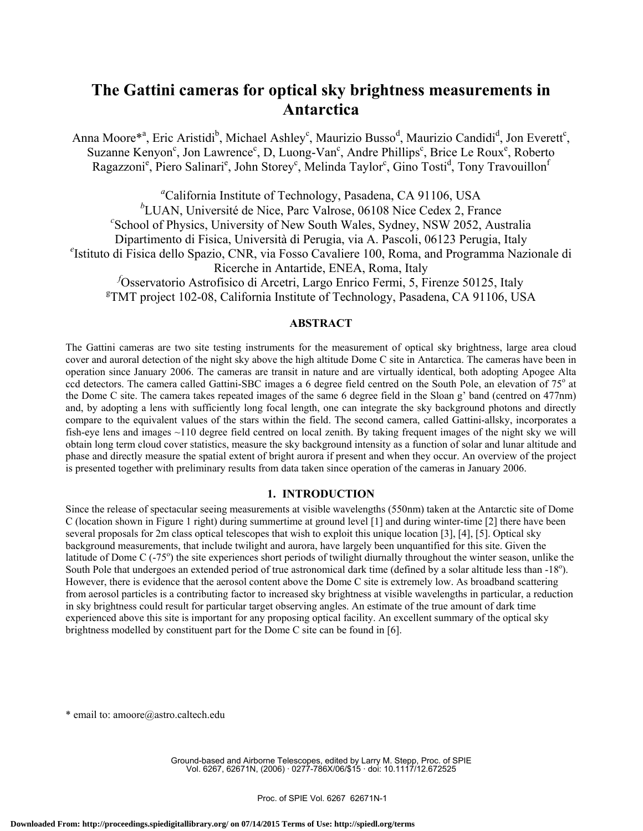# **The Gattini cameras for optical sky brightness measurements in Antarctica**

Anna Moore\*<sup>a</sup>, Eric Aristidi<sup>b</sup>, Michael Ashley<sup>c</sup>, Maurizio Busso<sup>d</sup>, Maurizio Candidi<sup>d</sup>, Jon Everett<sup>c</sup>, Suzanne Kenyon<sup>c</sup>, Jon Lawrence<sup>c</sup>, D, Luong-Van<sup>c</sup>, Andre Phillips<sup>c</sup>, Brice Le Roux<sup>e</sup>, Roberto Ragazzoni<sup>e</sup>, Piero Salinari<sup>e</sup>, John Storey<sup>e</sup>, Melinda Taylor<sup>e</sup>, Gino Tosti<sup>d</sup>, Tony Travouillon<sup>f</sup>

*a* California Institute of Technology, Pasadena, CA 91106, USA <sup>*b*</sup>LUAN, Université de Nice, Parc Valrose, 06108 Nice Cedex 2, France  $c$ School of Physics, University of New South Wales, Sydney, NSW 2052, Australia Dipartimento di Fisica, Università di Perugia, via A. Pascoli, 06123 Perugia, Italy *<sup>e</sup>* <sup>e</sup>Istituto di Fisica dello Spazio, CNR, via Fosso Cavaliere 100, Roma, and Programma Nazionale di Ricerche in Antartide, ENEA, Roma, Italy *f* Osservatorio Astrofisico di Arcetri, Largo Enrico Fermi, 5, Firenze 50125, Italy g TMT project 102-08, California Institute of Technology, Pasadena, CA 91106, USA

# **ABSTRACT**

The Gattini cameras are two site testing instruments for the measurement of optical sky brightness, large area cloud cover and auroral detection of the night sky above the high altitude Dome C site in Antarctica. The cameras have been in operation since January 2006. The cameras are transit in nature and are virtually identical, both adopting Apogee Alta ccd detectors. The camera called Gattini-SBC images a 6 degree field centred on the South Pole, an elevation of 75° at the Dome C site. The camera takes repeated images of the same 6 degree field in the Sloan g' band (centred on 477nm) and, by adopting a lens with sufficiently long focal length, one can integrate the sky background photons and directly compare to the equivalent values of the stars within the field. The second camera, called Gattini-allsky, incorporates a fish-eye lens and images ~110 degree field centred on local zenith. By taking frequent images of the night sky we will obtain long term cloud cover statistics, measure the sky background intensity as a function of solar and lunar altitude and phase and directly measure the spatial extent of bright aurora if present and when they occur. An overview of the project is presented together with preliminary results from data taken since operation of the cameras in January 2006.

#### **1. INTRODUCTION**

Since the release of spectacular seeing measurements at visible wavelengths (550nm) taken at the Antarctic site of Dome C (location shown in Figure 1 right) during summertime at ground level [1] and during winter-time [2] there have been several proposals for 2m class optical telescopes that wish to exploit this unique location [3], [4], [5]. Optical sky background measurements, that include twilight and aurora, have largely been unquantified for this site. Given the latitude of Dome C (-75°) the site experiences short periods of twilight diurnally throughout the winter season, unlike the South Pole that undergoes an extended period of true astronomical dark time (defined by a solar altitude less than -18°). However, there is evidence that the aerosol content above the Dome C site is extremely low. As broadband scattering from aerosol particles is a contributing factor to increased sky brightness at visible wavelengths in particular, a reduction in sky brightness could result for particular target observing angles. An estimate of the true amount of dark time experienced above this site is important for any proposing optical facility. An excellent summary of the optical sky brightness modelled by constituent part for the Dome C site can be found in [6].

\* email to: amoore@astro.caltech.edu

Ground-based and Airborne Telescopes, edited by Larry M. Stepp, Proc. of SPIE Vol. 6267, 62671N, (2006) · 0277-786X/06/\$15 · doi: 10.1117/12.672525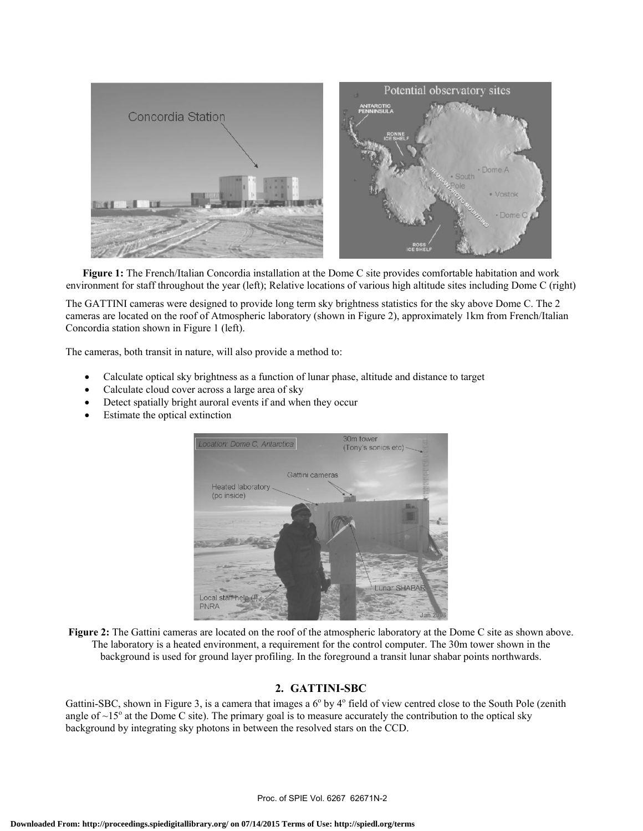

**Figure 1:** The French/Italian Concordia installation at the Dome C site provides comfortable habitation and work environment for staff throughout the year (left); Relative locations of various high altitude sites including Dome C (right)

The GATTINI cameras were designed to provide long term sky brightness statistics for the sky above Dome C. The 2 cameras are located on the roof of Atmospheric laboratory (shown in Figure 2), approximately 1km from French/Italian Concordia station shown in Figure 1 (left).

The cameras, both transit in nature, will also provide a method to:

- Calculate optical sky brightness as a function of lunar phase, altitude and distance to target
- Calculate cloud cover across a large area of sky
- Detect spatially bright auroral events if and when they occur
- Estimate the optical extinction



**Figure 2:** The Gattini cameras are located on the roof of the atmospheric laboratory at the Dome C site as shown above. The laboratory is a heated environment, a requirement for the control computer. The 30m tower shown in the background is used for ground layer profiling. In the foreground a transit lunar shabar points northwards.

# **2. GATTINI-SBC**

Gattini-SBC, shown in Figure 3, is a camera that images a 6<sup>°</sup> by 4<sup>°</sup> field of view centred close to the South Pole (zenith angle of  $\sim 15^\circ$  at the Dome C site). The primary goal is to measure accurately the contribution to the optical sky background by integrating sky photons in between the resolved stars on the CCD.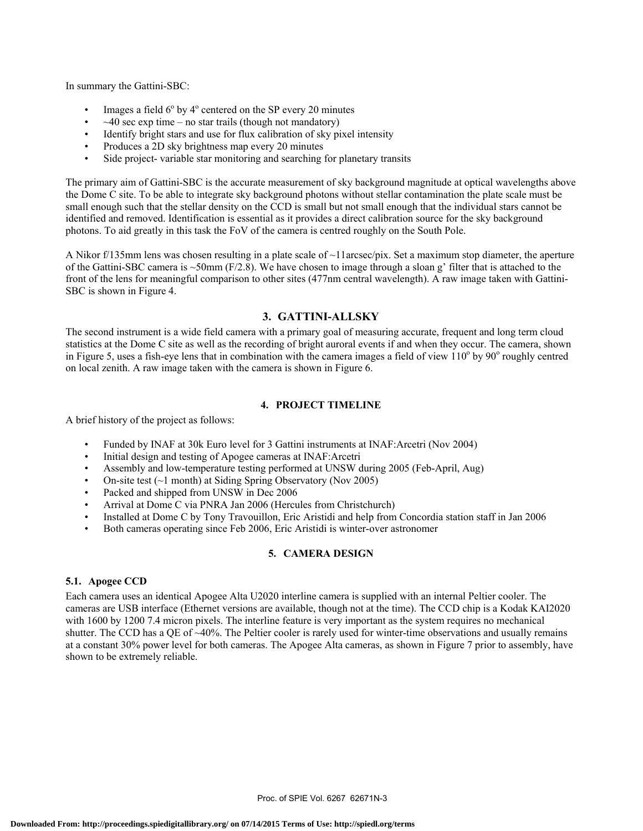In summary the Gattini-SBC:

- Images a field  $6^{\circ}$  by  $4^{\circ}$  centered on the SP every 20 minutes
- $\sim$ 40 sec exp time no star trails (though not mandatory)
- Identify bright stars and use for flux calibration of sky pixel intensity
- Produces a 2D sky brightness map every 20 minutes
- Side project- variable star monitoring and searching for planetary transits

The primary aim of Gattini-SBC is the accurate measurement of sky background magnitude at optical wavelengths above the Dome C site. To be able to integrate sky background photons without stellar contamination the plate scale must be small enough such that the stellar density on the CCD is small but not small enough that the individual stars cannot be identified and removed. Identification is essential as it provides a direct calibration source for the sky background photons. To aid greatly in this task the FoV of the camera is centred roughly on the South Pole.

A Nikor  $f/135$ mm lens was chosen resulting in a plate scale of  $\sim$ 11arcsec/pix. Set a maximum stop diameter, the aperture of the Gattini-SBC camera is  $\sim$ 50mm (F/2.8). We have chosen to image through a sloan g' filter that is attached to the front of the lens for meaningful comparison to other sites (477nm central wavelength). A raw image taken with Gattini-SBC is shown in Figure 4.

## **3. GATTINI-ALLSKY**

The second instrument is a wide field camera with a primary goal of measuring accurate, frequent and long term cloud statistics at the Dome C site as well as the recording of bright auroral events if and when they occur. The camera, shown in Figure 5, uses a fish-eye lens that in combination with the camera images a field of view  $110^{\circ}$  by  $90^{\circ}$  roughly centred on local zenith. A raw image taken with the camera is shown in Figure 6.

### **4. PROJECT TIMELINE**

A brief history of the project as follows:

- Funded by INAF at 30k Euro level for 3 Gattini instruments at INAF:Arcetri (Nov 2004)
- Initial design and testing of Apogee cameras at INAF:Arcetri
- Assembly and low-temperature testing performed at UNSW during 2005 (Feb-April, Aug)
- On-site test  $(\sim 1 \text{ month})$  at Siding Spring Observatory (Nov 2005)
- Packed and shipped from UNSW in Dec 2006
- Arrival at Dome C via PNRA Jan 2006 (Hercules from Christchurch)
- Installed at Dome C by Tony Travouillon, Eric Aristidi and help from Concordia station staff in Jan 2006
- Both cameras operating since Feb 2006, Eric Aristidi is winter-over astronomer

## **5. CAMERA DESIGN**

#### **5.1. Apogee CCD**

Each camera uses an identical Apogee Alta U2020 interline camera is supplied with an internal Peltier cooler. The cameras are USB interface (Ethernet versions are available, though not at the time). The CCD chip is a Kodak KAI2020 with 1600 by 1200 7.4 micron pixels. The interline feature is very important as the system requires no mechanical shutter. The CCD has a QE of ~40%. The Peltier cooler is rarely used for winter-time observations and usually remains at a constant 30% power level for both cameras. The Apogee Alta cameras, as shown in Figure 7 prior to assembly, have shown to be extremely reliable.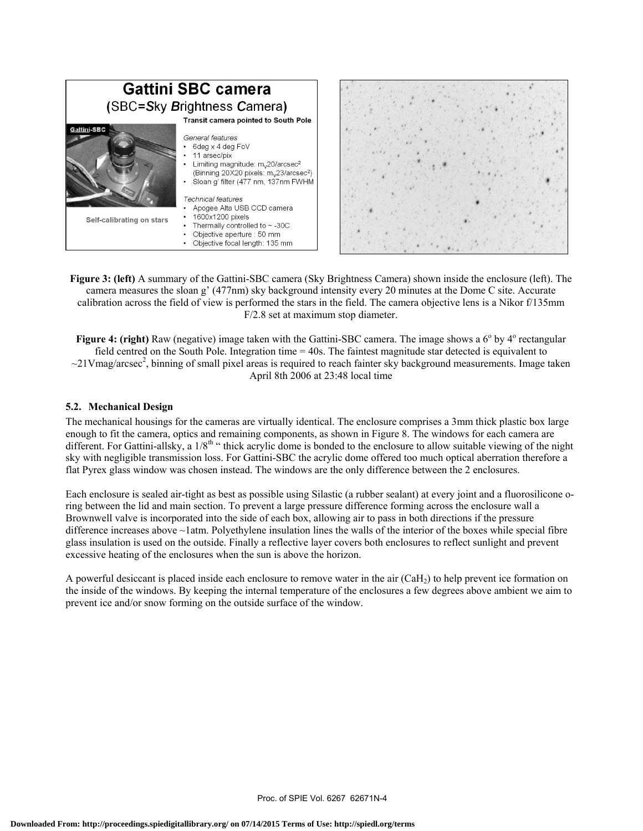

**Figure 3: (left)** A summary of the Gattini-SBC camera (Sky Brightness Camera) shown inside the enclosure (left). The camera measures the sloan g' (477nm) sky background intensity every 20 minutes at the Dome C site. Accurate calibration across the field of view is performed the stars in the field. The camera objective lens is a Nikor f/135mm F/2.8 set at maximum stop diameter.

Figure 4: (right) Raw (negative) image taken with the Gattini-SBC camera. The image shows a 6<sup>°</sup> by 4<sup>°</sup> rectangular field centred on the South Pole. Integration time = 40s. The faintest magnitude star detected is equivalent to  $\sim$ 21Vmag/arcsec<sup>2</sup>, binning of small pixel areas is required to reach fainter sky background measurements. Image taken April 8th 2006 at 23:48 local time

## **5.2. Mechanical Design**

The mechanical housings for the cameras are virtually identical. The enclosure comprises a 3mm thick plastic box large enough to fit the camera, optics and remaining components, as shown in Figure 8. The windows for each camera are different. For Gattini-allsky, a 1/8<sup>th "</sup> thick acrylic dome is bonded to the enclosure to allow suitable viewing of the night sky with negligible transmission loss. For Gattini-SBC the acrylic dome offered too much optical aberration therefore a flat Pyrex glass window was chosen instead. The windows are the only difference between the 2 enclosures.

Each enclosure is sealed air-tight as best as possible using Silastic (a rubber sealant) at every joint and a fluorosilicone oring between the lid and main section. To prevent a large pressure difference forming across the enclosure wall a Brownwell valve is incorporated into the side of each box, allowing air to pass in both directions if the pressure difference increases above ~1atm. Polyethylene insulation lines the walls of the interior of the boxes while special fibre glass insulation is used on the outside. Finally a reflective layer covers both enclosures to reflect sunlight and prevent excessive heating of the enclosures when the sun is above the horizon.

A powerful desiccant is placed inside each enclosure to remove water in the air (CaH2) to help prevent ice formation on the inside of the windows. By keeping the internal temperature of the enclosures a few degrees above ambient we aim to prevent ice and/or snow forming on the outside surface of the window.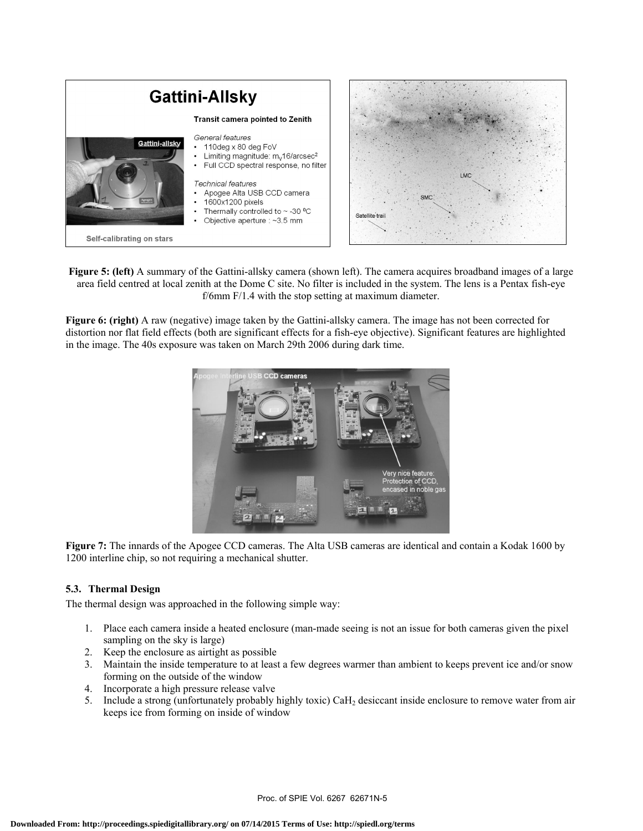

**Figure 5: (left)** A summary of the Gattini-allsky camera (shown left). The camera acquires broadband images of a large area field centred at local zenith at the Dome C site. No filter is included in the system. The lens is a Pentax fish-eye f/6mm F/1.4 with the stop setting at maximum diameter.

**Figure 6: (right)** A raw (negative) image taken by the Gattini-allsky camera. The image has not been corrected for distortion nor flat field effects (both are significant effects for a fish-eye objective). Significant features are highlighted in the image. The 40s exposure was taken on March 29th 2006 during dark time.



**Figure 7:** The innards of the Apogee CCD cameras. The Alta USB cameras are identical and contain a Kodak 1600 by 1200 interline chip, so not requiring a mechanical shutter.

## **5.3. Thermal Design**

The thermal design was approached in the following simple way:

- 1. Place each camera inside a heated enclosure (man-made seeing is not an issue for both cameras given the pixel sampling on the sky is large)
- 2. Keep the enclosure as airtight as possible
- 3. Maintain the inside temperature to at least a few degrees warmer than ambient to keeps prevent ice and/or snow forming on the outside of the window
- 4. Incorporate a high pressure release valve
- 5. Include a strong (unfortunately probably highly toxic) CaH2 desiccant inside enclosure to remove water from air keeps ice from forming on inside of window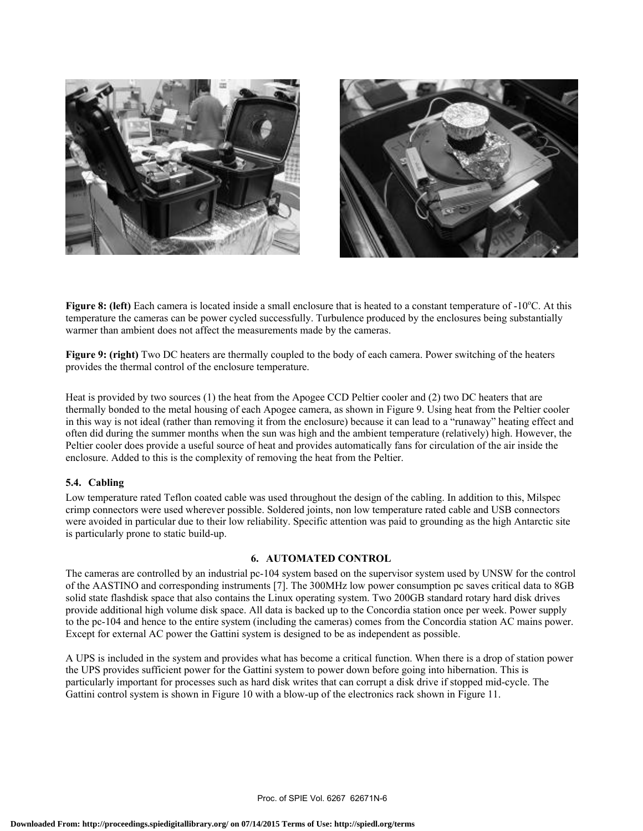



Figure 8: (left) Each camera is located inside a small enclosure that is heated to a constant temperature of -10°C. At this temperature the cameras can be power cycled successfully. Turbulence produced by the enclosures being substantially warmer than ambient does not affect the measurements made by the cameras.

**Figure 9: (right)** Two DC heaters are thermally coupled to the body of each camera. Power switching of the heaters provides the thermal control of the enclosure temperature.

Heat is provided by two sources (1) the heat from the Apogee CCD Peltier cooler and (2) two DC heaters that are thermally bonded to the metal housing of each Apogee camera, as shown in Figure 9. Using heat from the Peltier cooler in this way is not ideal (rather than removing it from the enclosure) because it can lead to a "runaway" heating effect and often did during the summer months when the sun was high and the ambient temperature (relatively) high. However, the Peltier cooler does provide a useful source of heat and provides automatically fans for circulation of the air inside the enclosure. Added to this is the complexity of removing the heat from the Peltier.

## **5.4. Cabling**

Low temperature rated Teflon coated cable was used throughout the design of the cabling. In addition to this, Milspec crimp connectors were used wherever possible. Soldered joints, non low temperature rated cable and USB connectors were avoided in particular due to their low reliability. Specific attention was paid to grounding as the high Antarctic site is particularly prone to static build-up.

#### **6. AUTOMATED CONTROL**

The cameras are controlled by an industrial pc-104 system based on the supervisor system used by UNSW for the control of the AASTINO and corresponding instruments [7]. The 300MHz low power consumption pc saves critical data to 8GB solid state flashdisk space that also contains the Linux operating system. Two 200GB standard rotary hard disk drives provide additional high volume disk space. All data is backed up to the Concordia station once per week. Power supply to the pc-104 and hence to the entire system (including the cameras) comes from the Concordia station AC mains power. Except for external AC power the Gattini system is designed to be as independent as possible.

A UPS is included in the system and provides what has become a critical function. When there is a drop of station power the UPS provides sufficient power for the Gattini system to power down before going into hibernation. This is particularly important for processes such as hard disk writes that can corrupt a disk drive if stopped mid-cycle. The Gattini control system is shown in Figure 10 with a blow-up of the electronics rack shown in Figure 11.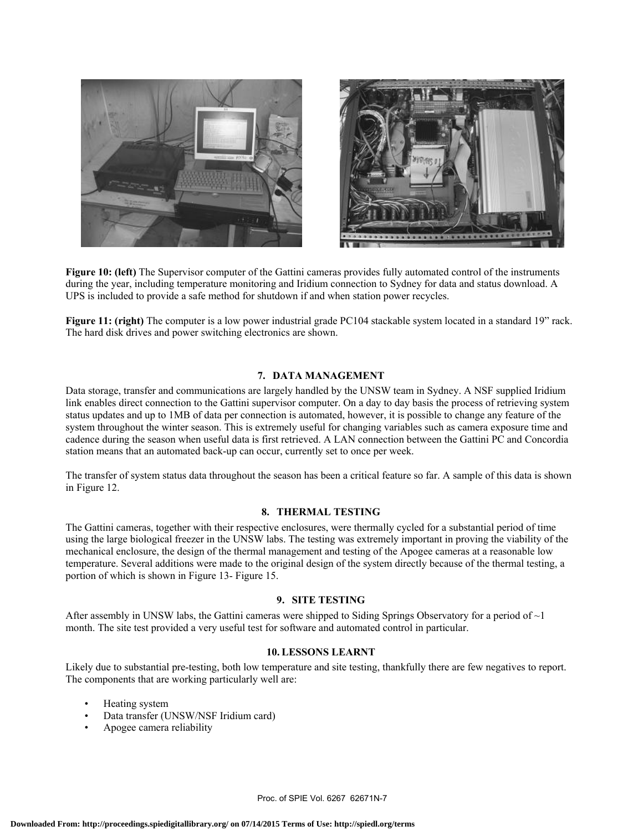

**Figure 10: (left)** The Supervisor computer of the Gattini cameras provides fully automated control of the instruments during the year, including temperature monitoring and Iridium connection to Sydney for data and status download. A UPS is included to provide a safe method for shutdown if and when station power recycles.

**Figure 11: (right)** The computer is a low power industrial grade PC104 stackable system located in a standard 19" rack. The hard disk drives and power switching electronics are shown.

## **7. DATA MANAGEMENT**

Data storage, transfer and communications are largely handled by the UNSW team in Sydney. A NSF supplied Iridium link enables direct connection to the Gattini supervisor computer. On a day to day basis the process of retrieving system status updates and up to 1MB of data per connection is automated, however, it is possible to change any feature of the system throughout the winter season. This is extremely useful for changing variables such as camera exposure time and cadence during the season when useful data is first retrieved. A LAN connection between the Gattini PC and Concordia station means that an automated back-up can occur, currently set to once per week.

The transfer of system status data throughout the season has been a critical feature so far. A sample of this data is shown in Figure 12.

#### **8. THERMAL TESTING**

The Gattini cameras, together with their respective enclosures, were thermally cycled for a substantial period of time using the large biological freezer in the UNSW labs. The testing was extremely important in proving the viability of the mechanical enclosure, the design of the thermal management and testing of the Apogee cameras at a reasonable low temperature. Several additions were made to the original design of the system directly because of the thermal testing, a portion of which is shown in Figure 13- Figure 15.

## **9. SITE TESTING**

After assembly in UNSW labs, the Gattini cameras were shipped to Siding Springs Observatory for a period of  $\sim$ 1 month. The site test provided a very useful test for software and automated control in particular.

### **10. LESSONS LEARNT**

Likely due to substantial pre-testing, both low temperature and site testing, thankfully there are few negatives to report. The components that are working particularly well are:

- Heating system
- Data transfer (UNSW/NSF Iridium card)
- Apogee camera reliability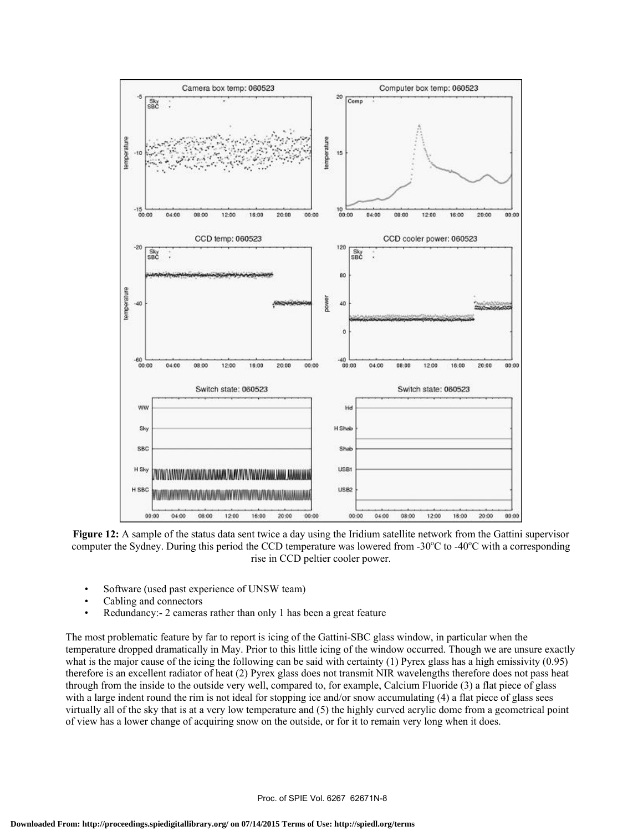

**Figure 12:** A sample of the status data sent twice a day using the Iridium satellite network from the Gattini supervisor computer the Sydney. During this period the CCD temperature was lowered from -30°C to -40°C with a corresponding rise in CCD peltier cooler power.

- Software (used past experience of UNSW team)
- Cabling and connectors
- Redundancy: 2 cameras rather than only 1 has been a great feature

The most problematic feature by far to report is icing of the Gattini-SBC glass window, in particular when the temperature dropped dramatically in May. Prior to this little icing of the window occurred. Though we are unsure exactly what is the major cause of the icing the following can be said with certainty (1) Pyrex glass has a high emissivity (0.95) therefore is an excellent radiator of heat (2) Pyrex glass does not transmit NIR wavelengths therefore does not pass heat through from the inside to the outside very well, compared to, for example, Calcium Fluoride (3) a flat piece of glass with a large indent round the rim is not ideal for stopping ice and/or snow accumulating (4) a flat piece of glass sees virtually all of the sky that is at a very low temperature and (5) the highly curved acrylic dome from a geometrical point of view has a lower change of acquiring snow on the outside, or for it to remain very long when it does.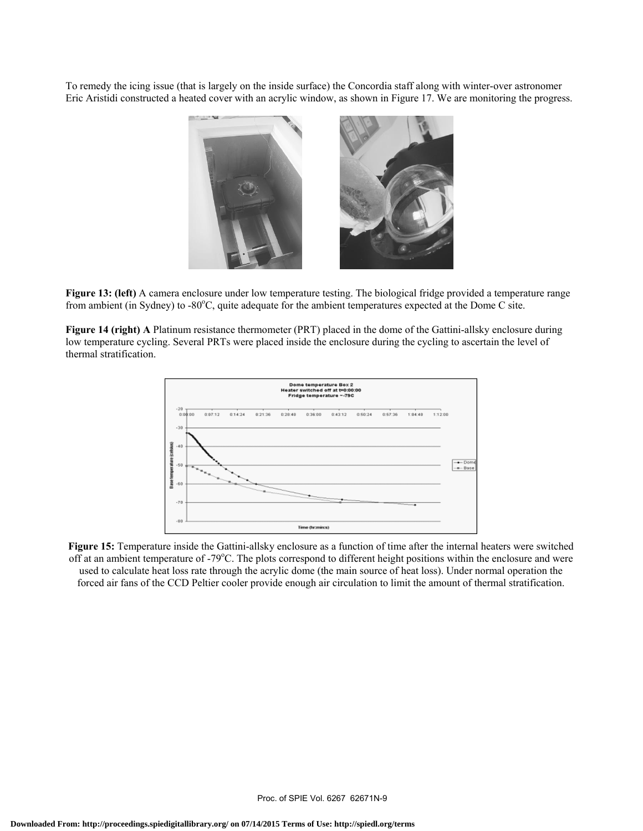To remedy the icing issue (that is largely on the inside surface) the Concordia staff along with winter-over astronomer Eric Aristidi constructed a heated cover with an acrylic window, as shown in Figure 17. We are monitoring the progress.



**Figure 13: (left)** A camera enclosure under low temperature testing. The biological fridge provided a temperature range from ambient (in Sydney) to -80°C, quite adequate for the ambient temperatures expected at the Dome C site.

**Figure 14 (right) A** Platinum resistance thermometer (PRT) placed in the dome of the Gattini-allsky enclosure during low temperature cycling. Several PRTs were placed inside the enclosure during the cycling to ascertain the level of thermal stratification.



**Figure 15:** Temperature inside the Gattini-allsky enclosure as a function of time after the internal heaters were switched off at an ambient temperature of -79°C. The plots correspond to different height positions within the enclosure and were used to calculate heat loss rate through the acrylic dome (the main source of heat loss). Under normal operation the forced air fans of the CCD Peltier cooler provide enough air circulation to limit the amount of thermal stratification.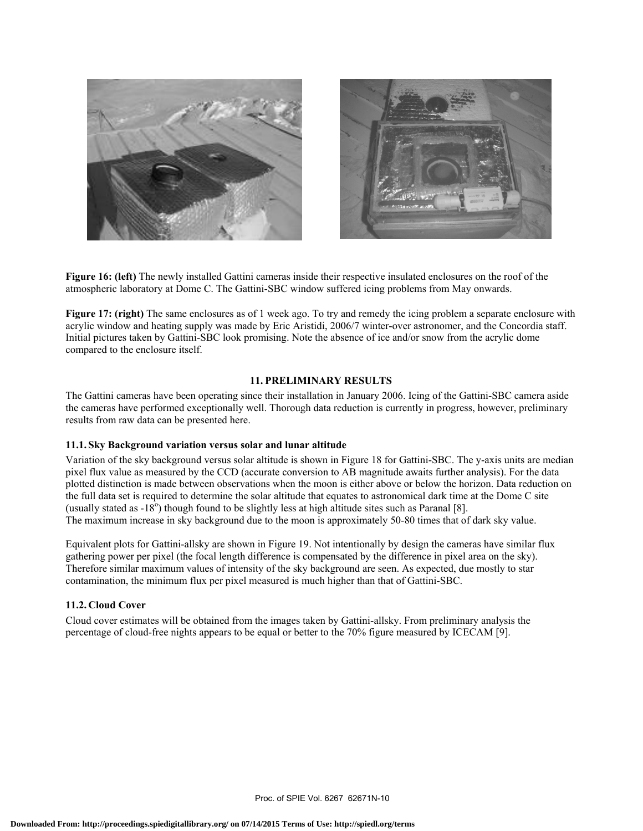



**Figure 16: (left)** The newly installed Gattini cameras inside their respective insulated enclosures on the roof of the atmospheric laboratory at Dome C. The Gattini-SBC window suffered icing problems from May onwards.

**Figure 17: (right)** The same enclosures as of 1 week ago. To try and remedy the icing problem a separate enclosure with acrylic window and heating supply was made by Eric Aristidi, 2006/7 winter-over astronomer, and the Concordia staff. Initial pictures taken by Gattini-SBC look promising. Note the absence of ice and/or snow from the acrylic dome compared to the enclosure itself.

## **11. PRELIMINARY RESULTS**

The Gattini cameras have been operating since their installation in January 2006. Icing of the Gattini-SBC camera aside the cameras have performed exceptionally well. Thorough data reduction is currently in progress, however, preliminary results from raw data can be presented here.

#### **11.1. Sky Background variation versus solar and lunar altitude**

Variation of the sky background versus solar altitude is shown in Figure 18 for Gattini-SBC. The y-axis units are median pixel flux value as measured by the CCD (accurate conversion to AB magnitude awaits further analysis). For the data plotted distinction is made between observations when the moon is either above or below the horizon. Data reduction on the full data set is required to determine the solar altitude that equates to astronomical dark time at the Dome C site (usually stated as  $-18^{\circ}$ ) though found to be slightly less at high altitude sites such as Paranal [8]. The maximum increase in sky background due to the moon is approximately 50-80 times that of dark sky value.

Equivalent plots for Gattini-allsky are shown in Figure 19. Not intentionally by design the cameras have similar flux gathering power per pixel (the focal length difference is compensated by the difference in pixel area on the sky). Therefore similar maximum values of intensity of the sky background are seen. As expected, due mostly to star contamination, the minimum flux per pixel measured is much higher than that of Gattini-SBC.

## **11.2. Cloud Cover**

Cloud cover estimates will be obtained from the images taken by Gattini-allsky. From preliminary analysis the percentage of cloud-free nights appears to be equal or better to the 70% figure measured by ICECAM [9].